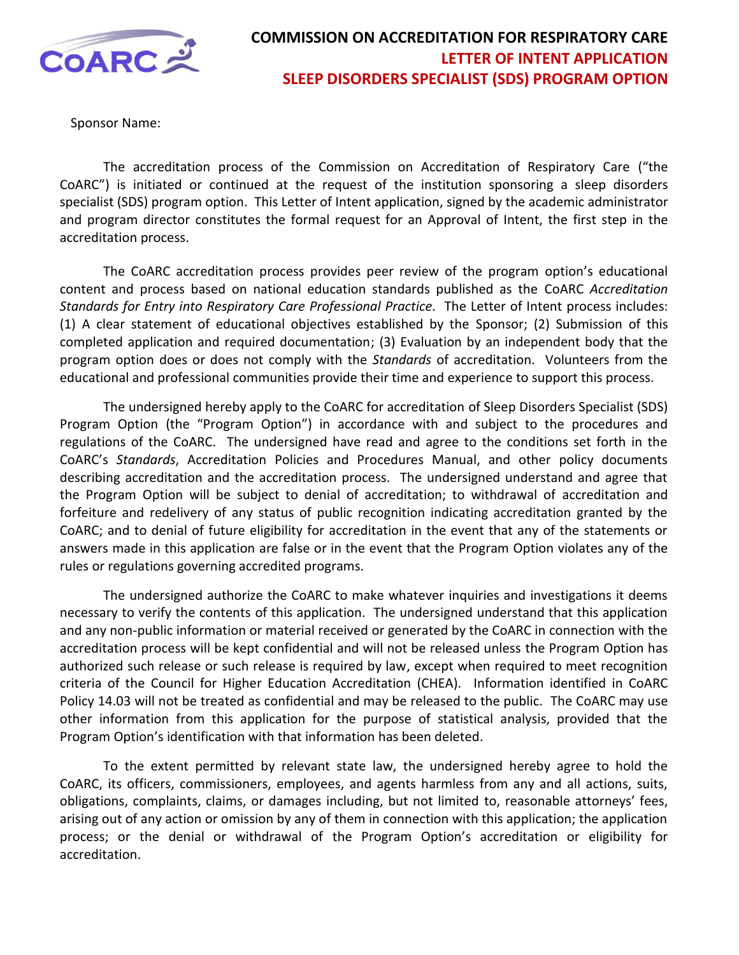

Sponsor Name:

The accreditation process of the Commission on Accreditation of Respiratory Care ("the CoARC") is initiated or continued at the request of the institution sponsoring a sleep disorders specialist (SDS) program option. This Letter of Intent application, signed by the academic administrator and program director constitutes the formal request for an Approval of Intent, the first step in the accreditation process.

The CoARC accreditation process provides peer review of the program option's educational content and process based on national education standards published as the CoARC *Accreditation Standards for Entry into Respiratory Care Professional Practice.* The Letter of Intent process includes: (1) A clear statement of educational objectives established by the Sponsor; (2) Submission of this completed application and required documentation; (3) Evaluation by an independent body that the program option does or does not comply with the *Standards* of accreditation. Volunteers from the educational and professional communities provide their time and experience to support this process.

The undersigned hereby apply to the CoARC for accreditation of Sleep Disorders Specialist (SDS) Program Option (the "Program Option") in accordance with and subject to the procedures and regulations of the CoARC. The undersigned have read and agree to the conditions set forth in the CoARC's *Standards*, Accreditation Policies and Procedures Manual, and other policy documents describing accreditation and the accreditation process. The undersigned understand and agree that the Program Option will be subject to denial of accreditation; to withdrawal of accreditation and forfeiture and redelivery of any status of public recognition indicating accreditation granted by the CoARC; and to denial of future eligibility for accreditation in the event that any of the statements or answers made in this application are false or in the event that the Program Option violates any of the rules or regulations governing accredited programs.

The undersigned authorize the CoARC to make whatever inquiries and investigations it deems necessary to verify the contents of this application. The undersigned understand that this application and any non-public information or material received or generated by the CoARC in connection with the accreditation process will be kept confidential and will not be released unless the Program Option has authorized such release or such release is required by law, except when required to meet recognition criteria of the Council for Higher Education Accreditation (CHEA). Information identified in CoARC Policy 14.03 will not be treated as confidential and may be released to the public. The CoARC may use other information from this application for the purpose of statistical analysis, provided that the Program Option's identification with that information has been deleted.

To the extent permitted by relevant state law, the undersigned hereby agree to hold the CoARC, its officers, commissioners, employees, and agents harmless from any and all actions, suits, obligations, complaints, claims, or damages including, but not limited to, reasonable attorneys' fees, arising out of any action or omission by any of them in connection with this application; the application process; or the denial or withdrawal of the Program Option's accreditation or eligibility for accreditation.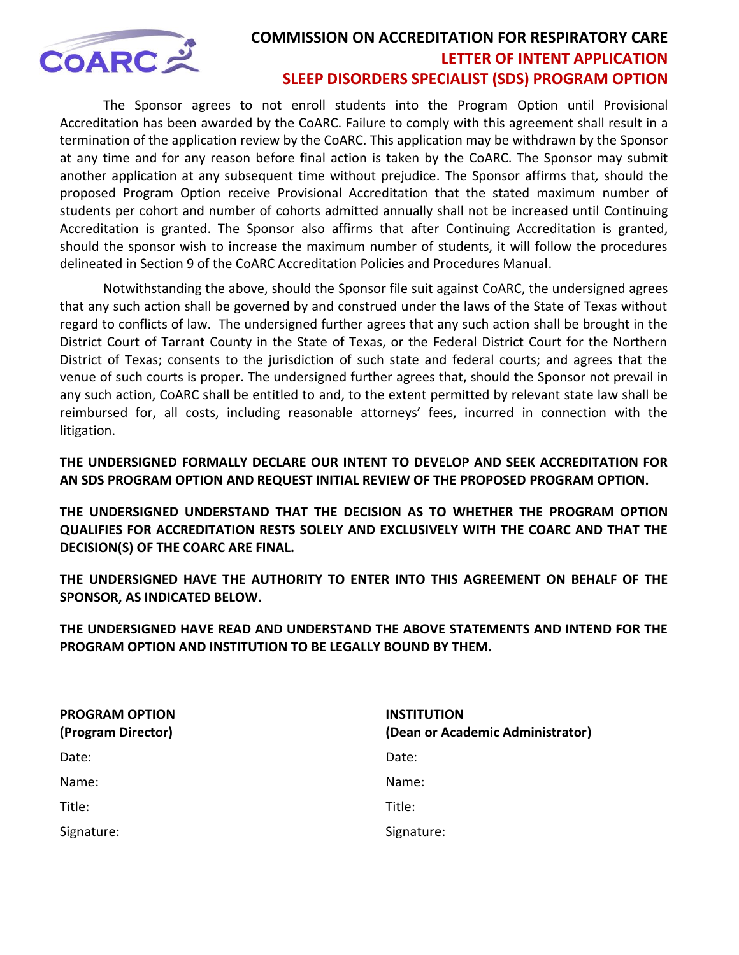

 The Sponsor agrees to not enroll students into the Program Option until Provisional Accreditation has been awarded by the CoARC. Failure to comply with this agreement shall result in a termination of the application review by the CoARC. This application may be withdrawn by the Sponsor at any time and for any reason before final action is taken by the CoARC. The Sponsor may submit another application at any subsequent time without prejudice. The Sponsor affirms that*,* should the proposed Program Option receive Provisional Accreditation that the stated maximum number of students per cohort and number of cohorts admitted annually shall not be increased until Continuing Accreditation is granted. The Sponsor also affirms that after Continuing Accreditation is granted, should the sponsor wish to increase the maximum number of students, it will follow the procedures delineated in Section 9 of the CoARC Accreditation Policies and Procedures Manual.

 Notwithstanding the above, should the Sponsor file suit against CoARC, the undersigned agrees that any such action shall be governed by and construed under the laws of the State of Texas without regard to conflicts of law. The undersigned further agrees that any such action shall be brought in the District Court of Tarrant County in the State of Texas, or the Federal District Court for the Northern District of Texas; consents to the jurisdiction of such state and federal courts; and agrees that the venue of such courts is proper. The undersigned further agrees that, should the Sponsor not prevail in any such action, CoARC shall be entitled to and, to the extent permitted by relevant state law shall be reimbursed for, all costs, including reasonable attorneys' fees, incurred in connection with the litigation.

**THE UNDERSIGNED FORMALLY DECLARE OUR INTENT TO DEVELOP AND SEEK ACCREDITATION FOR AN SDS PROGRAM OPTION AND REQUEST INITIAL REVIEW OF THE PROPOSED PROGRAM OPTION.** 

**THE UNDERSIGNED UNDERSTAND THAT THE DECISION AS TO WHETHER THE PROGRAM OPTION QUALIFIES FOR ACCREDITATION RESTS SOLELY AND EXCLUSIVELY WITH THE COARC AND THAT THE DECISION(S) OF THE COARC ARE FINAL.** 

**THE UNDERSIGNED HAVE THE AUTHORITY TO ENTER INTO THIS AGREEMENT ON BEHALF OF THE SPONSOR, AS INDICATED BELOW.** 

**THE UNDERSIGNED HAVE READ AND UNDERSTAND THE ABOVE STATEMENTS AND INTEND FOR THE PROGRAM OPTION AND INSTITUTION TO BE LEGALLY BOUND BY THEM.** 

| <b>PROGRAM OPTION</b><br>(Program Director) | <b>INSTITUTION</b><br>(Dean or Academic Administrator) |
|---------------------------------------------|--------------------------------------------------------|
| Date:                                       | Date:                                                  |
| Name:                                       | Name:                                                  |
| Title:                                      | Title:                                                 |
| Signature:                                  | Signature:                                             |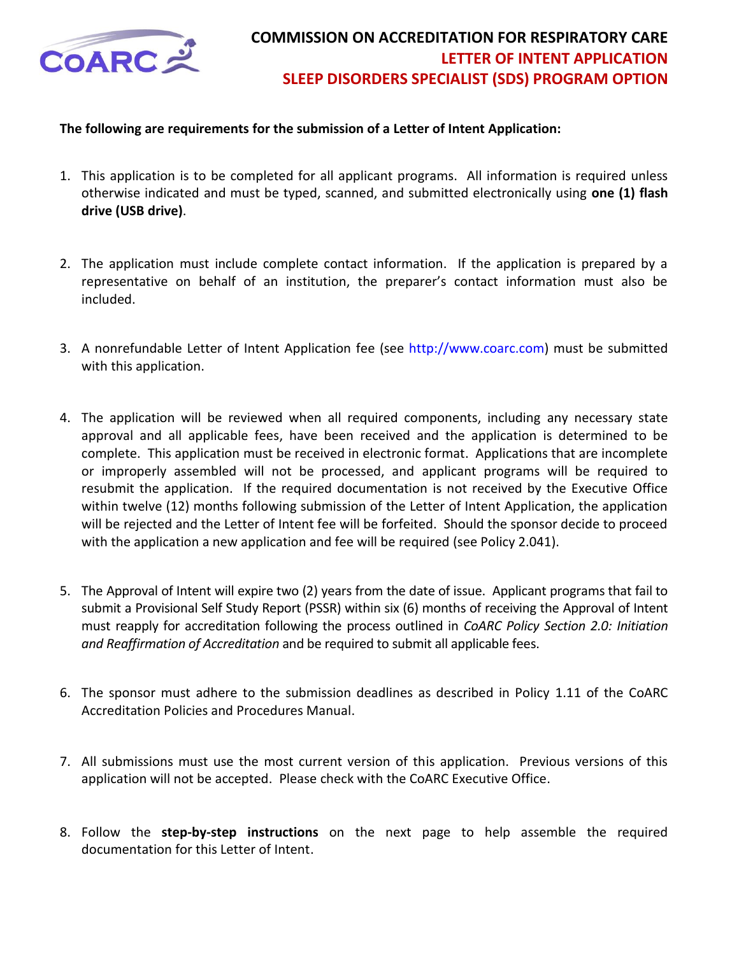

#### **The following are requirements for the submission of a Letter of Intent Application:**

- 1. This application is to be completed for all applicant programs. All information is required unless otherwise indicated and must be typed, scanned, and submitted electronically using **one (1) flash drive (USB drive)**.
- 2. The application must include complete contact information. If the application is prepared by a representative on behalf of an institution, the preparer's contact information must also be included.
- 3. A nonrefundable Letter of Intent Application fee (see [http://www.coarc.com\)](http://www.coarc.com/28.html) must be submitted with this application.
- 4. The application will be reviewed when all required components, including any necessary state approval and all applicable fees, have been received and the application is determined to be complete. This application must be received in electronic format. Applications that are incomplete or improperly assembled will not be processed, and applicant programs will be required to resubmit the application. If the required documentation is not received by the Executive Office within twelve (12) months following submission of the Letter of Intent Application, the application will be rejected and the Letter of Intent fee will be forfeited. Should the sponsor decide to proceed with the application a new application and fee will be required (see Policy 2.041).
- 5. The Approval of Intent will expire two (2) years from the date of issue. Applicant programs that fail to submit a Provisional Self Study Report (PSSR) within six (6) months of receiving the Approval of Intent must reapply for accreditation following the process outlined in *CoARC Policy Section 2.0: Initiation and Reaffirmation of Accreditation* and be required to submit all applicable fees.
- 6. The sponsor must adhere to the submission deadlines as described in Policy 1.11 of the CoARC Accreditation Policies and Procedures Manual.
- 7. All submissions must use the most current version of this application. Previous versions of this application will not be accepted. Please check with the CoARC Executive Office.
- 8. Follow the **step-by-step instructions** on the next page to help assemble the required documentation for this Letter of Intent.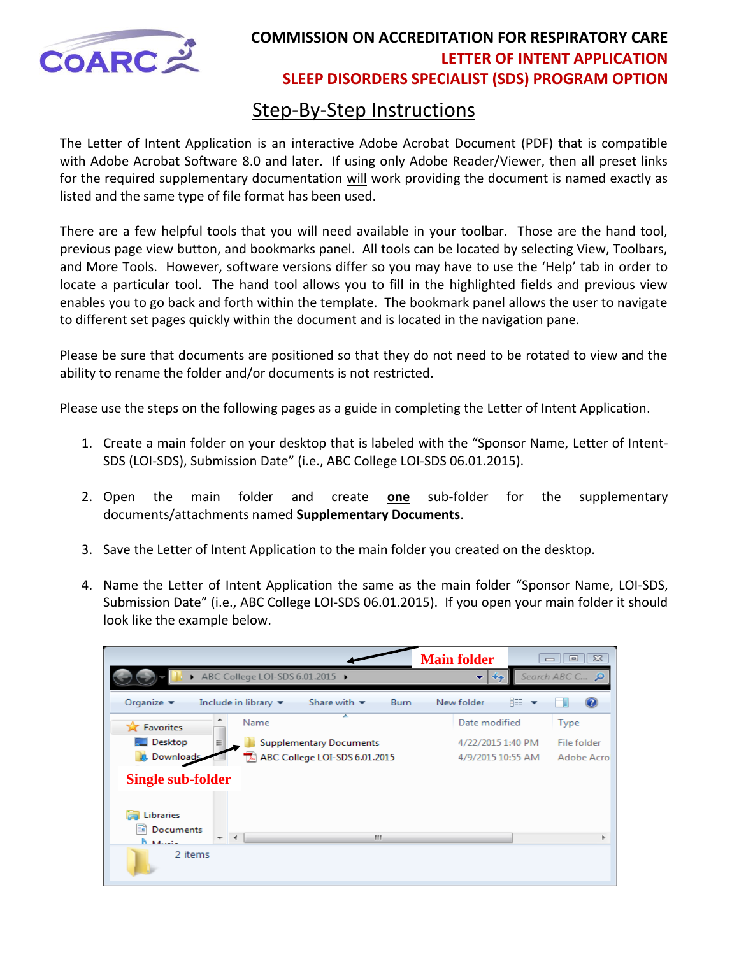

# Step-By-Step Instructions

The Letter of Intent Application is an interactive Adobe Acrobat Document (PDF) that is compatible with Adobe Acrobat Software 8.0 and later. If using only Adobe Reader/Viewer, then all preset links for the required supplementary documentation will work providing the document is named exactly as listed and the same type of file format has been used.

There are a few helpful tools that you will need available in your toolbar. Those are the hand tool, previous page view button, and bookmarks panel. All tools can be located by selecting View, Toolbars, and More Tools. However, software versions differ so you may have to use the 'Help' tab in order to locate a particular tool. The hand tool allows you to fill in the highlighted fields and previous view enables you to go back and forth within the template. The bookmark panel allows the user to navigate to different set pages quickly within the document and is located in the navigation pane.

Please be sure that documents are positioned so that they do not need to be rotated to view and the ability to rename the folder and/or documents is not restricted.

Please use the steps on the following pages as a guide in completing the Letter of Intent Application.

- 1. Create a main folder on your desktop that is labeled with the "Sponsor Name, Letter of Intent-SDS (LOI-SDS), Submission Date" (i.e., ABC College LOI-SDS 06.01.2015).
- 2. Open the main folder and create **one** sub-folder for the supplementary documents/attachments named **Supplementary Documents**.
- 3. Save the Letter of Intent Application to the main folder you created on the desktop.
- 4. Name the Letter of Intent Application the same as the main folder "Sponsor Name, LOI-SDS, Submission Date" (i.e., ABC College LOI-SDS 06.01.2015). If you open your main folder it should look like the example below.

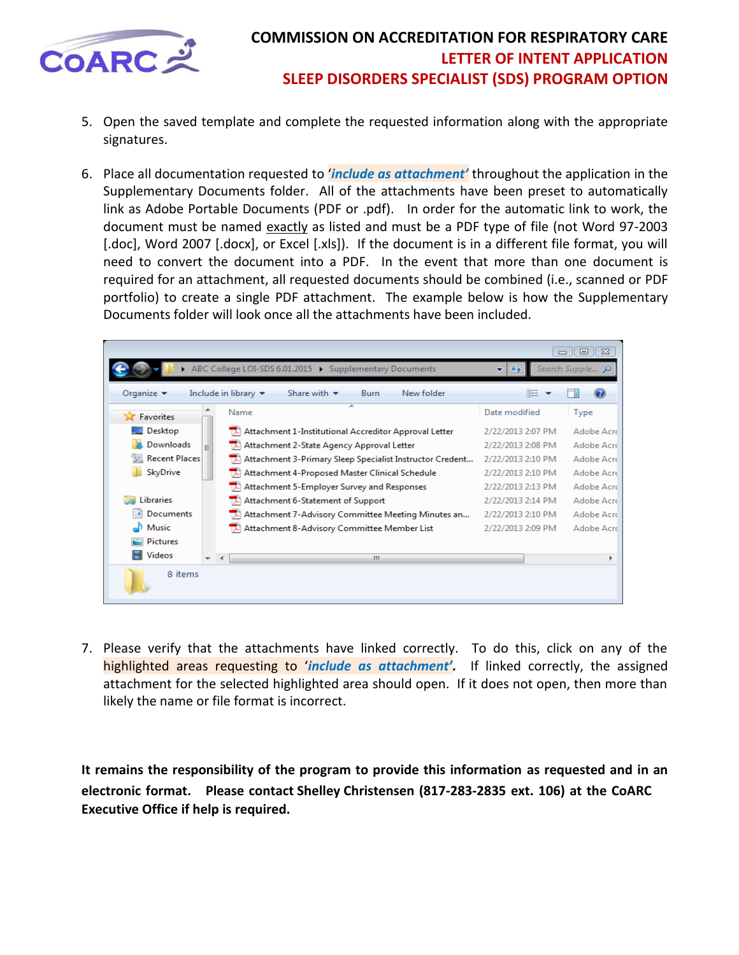

- 5. Open the saved template and complete the requested information along with the appropriate signatures.
- 6. Place all documentation requested to '*include as attachment'* throughout the application in the Supplementary Documents folder. All of the attachments have been preset to automatically link as Adobe Portable Documents (PDF or .pdf). In order for the automatic link to work, the document must be named exactly as listed and must be a PDF type of file (not Word 97-2003 [.doc], Word 2007 [.docx], or Excel [.xls]). If the document is in a different file format, you will need to convert the document into a PDF. In the event that more than one document is required for an attachment, all requested documents should be combined (i.e., scanned or PDF portfolio) to create a single PDF attachment. The example below is how the Supplementary Documents folder will look once all the attachments have been included.

|                                                                                                                                        |                          |                                                          |                   | $\Sigma$<br>回<br>$\Box$ |
|----------------------------------------------------------------------------------------------------------------------------------------|--------------------------|----------------------------------------------------------|-------------------|-------------------------|
| ABC College LOI-SDS 6.01.2015 > Supplementary Documents<br>Search Supple P<br>$\bigstar$                                               |                          |                                                          |                   |                         |
| 睚<br>Organize $\blacktriangledown$<br>Include in library $\blacktriangledown$<br>Share with $\blacktriangledown$<br>New folder<br>Burn |                          |                                                          |                   |                         |
| <b>X</b> Favorites                                                                                                                     |                          | Name                                                     | Date modified     | <b>Type</b>             |
| $\Box$ Desktop                                                                                                                         |                          | Attachment 1-Institutional Accreditor Approval Letter    | 2/22/2013 2:07 PM | Adobe Acro              |
| Downloads                                                                                                                              | Ξ                        | Attachment 2-State Agency Approval Letter                | 2/22/2013 2:08 PM | Adobe Acro              |
| <b>圖 Recent Places</b>                                                                                                                 |                          | Attachment 3-Primary Sleep Specialist Instructor Credent | 2/22/2013 2:10 PM | Adobe Acro              |
| SkyDrive                                                                                                                               |                          | Attachment 4-Proposed Master Clinical Schedule           | 2/22/2013 2:10 PM | Adobe Acro              |
|                                                                                                                                        |                          | Attachment 5-Employer Survey and Responses               | 2/22/2013 2:13 PM | Adobe Acro              |
| <b>Libraries</b>                                                                                                                       |                          | Attachment 6-Statement of Support                        | 2/22/2013 2:14 PM | Adobe Acro              |
| <b>Documents</b>                                                                                                                       |                          | Attachment 7-Advisory Committee Meeting Minutes an       | 2/22/2013 2:10 PM | Adobe Acrd              |
| Music                                                                                                                                  |                          | Attachment 8-Advisory Committee Member List              | 2/22/2013 2:09 PM | Adobe Acro              |
| <b>Pictures</b>                                                                                                                        |                          |                                                          |                   |                         |
| <b>Videos</b>                                                                                                                          | $\overline{\phantom{a}}$ | m.<br>$\overline{a}$                                     |                   |                         |
| 8 items                                                                                                                                |                          |                                                          |                   |                         |

7. Please verify that the attachments have linked correctly. To do this, click on any of the highlighted areas requesting to '*include as attachment'.* If linked correctly, the assigned attachment for the selected highlighted area should open. If it does not open, then more than likely the name or file format is incorrect.

**It remains the responsibility of the program to provide this information as requested and in an electronic format. Please contact Shelley Christensen (817-283-2835 ext. 106) at the CoARC Executive Office if help is required.**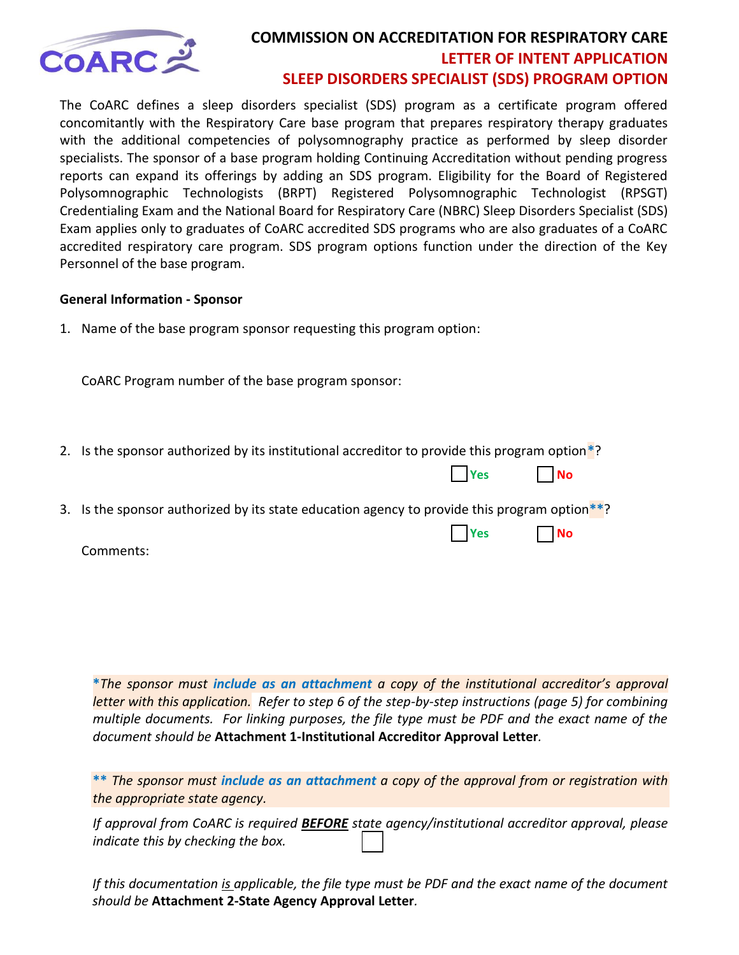

The CoARC defines a sleep disorders specialist (SDS) program as a certificate program offered concomitantly with the Respiratory Care base program that prepares respiratory therapy graduates with the additional competencies of polysomnography practice as performed by sleep disorder specialists. The sponsor of a base program holding Continuing Accreditation without pending progress reports can expand its offerings by adding an SDS program. Eligibility for the Board of Registered Polysomnographic Technologists (BRPT) Registered Polysomnographic Technologist (RPSGT) Credentialing Exam and the National Board for Respiratory Care (NBRC) Sleep Disorders Specialist (SDS) Exam applies only to graduates of CoARC accredited SDS programs who are also graduates of a CoARC accredited respiratory care program. SDS program options function under the direction of the Key Personnel of the base program.

#### **General Information - Sponsor**

1. Name of the base program sponsor requesting this program option:

CoARC Program number of the base program sponsor:

2. Is the sponsor authorized by its institutional accreditor to provide this program option**\***?

|  |  |  | <b>Example 18 Yes</b> |  |
|--|--|--|-----------------------|--|
|--|--|--|-----------------------|--|

3. Is the sponsor authorized by its state education agency to provide this program option**\*\***?

**No. 2. In the Contract of the Contract of the Contract of the Contract of the Contract of the Contract of the Contract of the Contract of the Contract of the Contract of the Contract of the Contract of the Contract of the** 

Comments:

**\****The sponsor must include as an attachment a copy of the institutional accreditor's approval letter with this application. Refer to step 6 of the step-by-step instructions (page 5) for combining multiple documents. For linking purposes, the file type must be PDF and the exact name of the document should be* **Attachment 1-Institutional Accreditor Approval Letter***.*

**\*\*** *The sponsor must include as an attachment a copy of the approval from or registration with the appropriate state agency.* 

*If approval from CoARC is required BEFORE state agency/institutional accreditor approval, please indicate this by checking the box.* 

*If this documentation is applicable, the file type must be PDF and the exact name of the document should be* **Attachment 2-State Agency Approval Letter***.*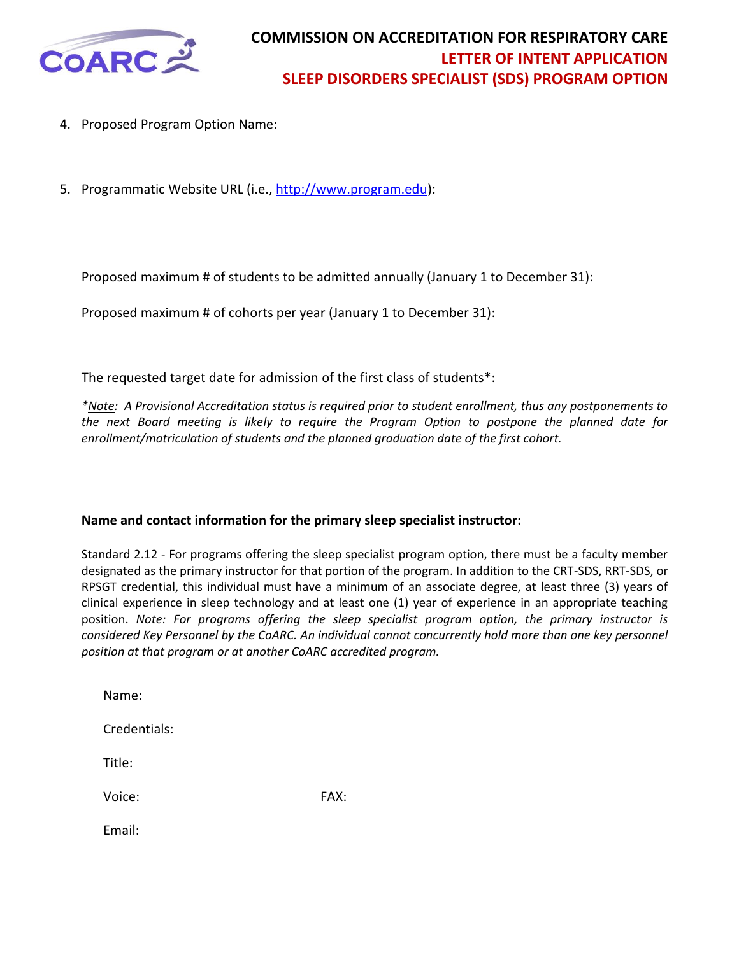

- 4. Proposed Program Option Name:
- 5. Programmatic Website URL (i.e., [http://www.program.edu\)](http://www.program.edu/):

Proposed maximum # of students to be admitted annually (January 1 to December 31):

Proposed maximum # of cohorts per year (January 1 to December 31):

The requested target date for admission of the first class of students\*:

*\*Note: A Provisional Accreditation status is required prior to student enrollment, thus any postponements to the next Board meeting is likely to require the Program Option to postpone the planned date for enrollment/matriculation of students and the planned graduation date of the first cohort.* 

#### **Name and contact information for the primary sleep specialist instructor:**

Standard 2.12 - For programs offering the sleep specialist program option, there must be a faculty member designated as the primary instructor for that portion of the program. In addition to the CRT-SDS, RRT-SDS, or RPSGT credential, this individual must have a minimum of an associate degree, at least three (3) years of clinical experience in sleep technology and at least one (1) year of experience in an appropriate teaching position. *Note: For programs offering the sleep specialist program option, the primary instructor is*  considered Key Personnel by the CoARC. An individual cannot concurrently hold more than one key personnel *position at that program or at another CoARC accredited program.* 

| Name:        |      |
|--------------|------|
| Credentials: |      |
| Title:       |      |
| Voice:       | FAX: |
| Email:       |      |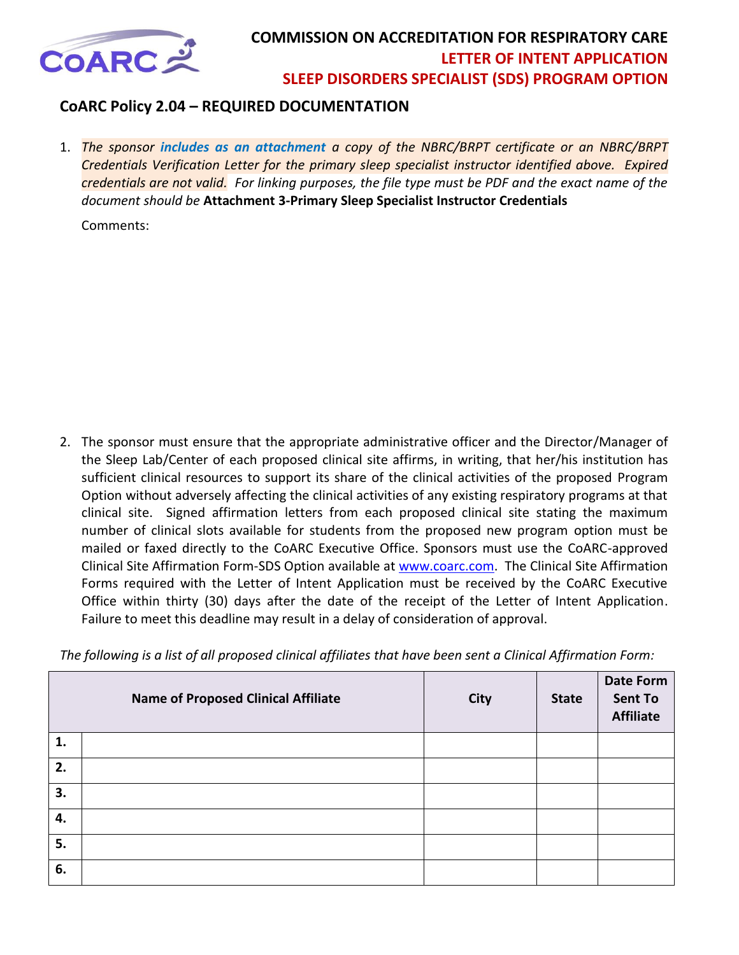

### **CoARC Policy 2.04 – REQUIRED DOCUMENTATION**

1. *The sponsor includes as an attachment a copy of the NBRC/BRPT certificate or an NBRC/BRPT Credentials Verification Letter for the primary sleep specialist instructor identified above. Expired credentials are not valid.**For linking purposes, the file type must be PDF and the exact name of the document should be* **Attachment 3-Primary Sleep Specialist Instructor Credentials**

Comments:

2. The sponsor must ensure that the appropriate administrative officer and the Director/Manager of the Sleep Lab/Center of each proposed clinical site affirms, in writing, that her/his institution has sufficient clinical resources to support its share of the clinical activities of the proposed Program Option without adversely affecting the clinical activities of any existing respiratory programs at that clinical site. Signed affirmation letters from each proposed clinical site stating the maximum number of clinical slots available for students from the proposed new program option must be mailed or faxed directly to the CoARC Executive Office. Sponsors must use the CoARC-approved Clinical Site Affirmation Form-SDS Option available at [www.coarc.com.](http://www.coarc.com/42.html) The Clinical Site Affirmation Forms required with the Letter of Intent Application must be received by the CoARC Executive Office within thirty (30) days after the date of the receipt of the Letter of Intent Application. Failure to meet this deadline may result in a delay of consideration of approval.

*The following is a list of all proposed clinical affiliates that have been sent a Clinical Affirmation Form:* 

|    | <b>Name of Proposed Clinical Affiliate</b> | <b>City</b> | <b>State</b> | <b>Date Form</b><br><b>Sent To</b><br><b>Affiliate</b> |
|----|--------------------------------------------|-------------|--------------|--------------------------------------------------------|
| 1. |                                            |             |              |                                                        |
| 2. |                                            |             |              |                                                        |
| 3. |                                            |             |              |                                                        |
| 4. |                                            |             |              |                                                        |
| 5. |                                            |             |              |                                                        |
| 6. |                                            |             |              |                                                        |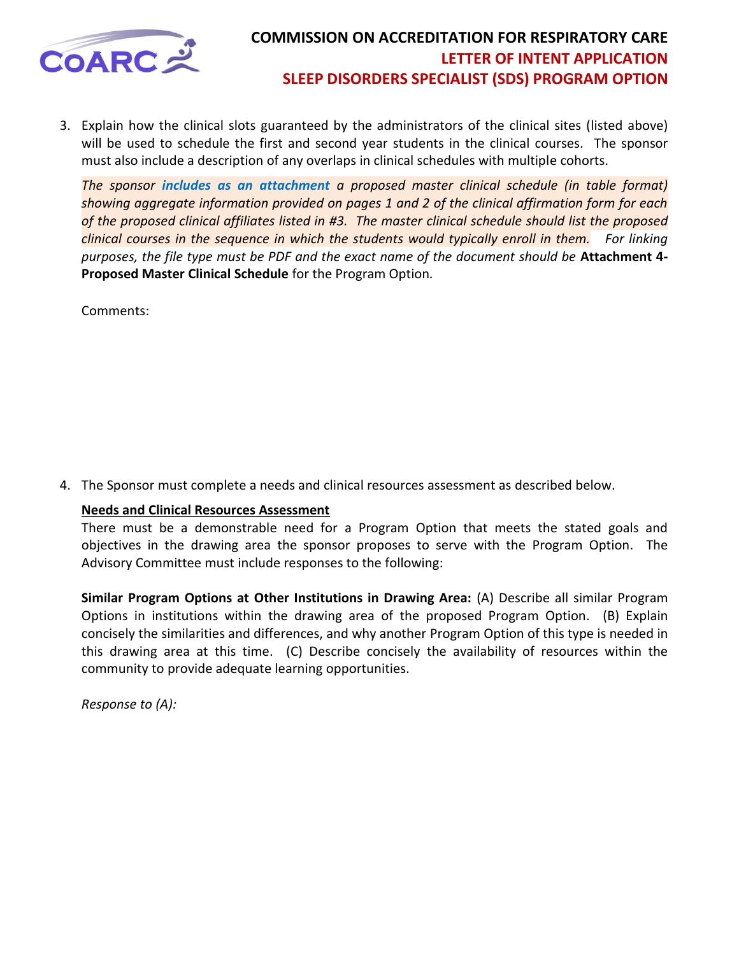

3. Explain how the clinical slots guaranteed by the administrators of the clinical sites (listed above) will be used to schedule the first and second year students in the clinical courses. The sponsor must also include a description of any overlaps in clinical schedules with multiple cohorts.

*The sponsor includes as an attachment a proposed master clinical schedule (in table format) showing aggregate information provided on pages 1 and 2 of the clinical affirmation form for each of the proposed clinical affiliates listed in #3. The master clinical schedule should list the proposed clinical courses in the sequence in which the students would typically enroll in them. For linking purposes, the file type must be PDF and the exact name of the document should be* **Attachment 4- Proposed Master Clinical Schedule** for the Program Option*.*

Comments:

4. The Sponsor must complete a needs and clinical resources assessment as described below.

#### **Needs and Clinical Resources Assessment**

There must be a demonstrable need for a Program Option that meets the stated goals and objectives in the drawing area the sponsor proposes to serve with the Program Option. The Advisory Committee must include responses to the following:

**Similar Program Options at Other Institutions in Drawing Area:** (A) Describe all similar Program Options in institutions within the drawing area of the proposed Program Option. (B) Explain concisely the similarities and differences, and why another Program Option of this type is needed in this drawing area at this time. (C) Describe concisely the availability of resources within the community to provide adequate learning opportunities.

*Response to (A):*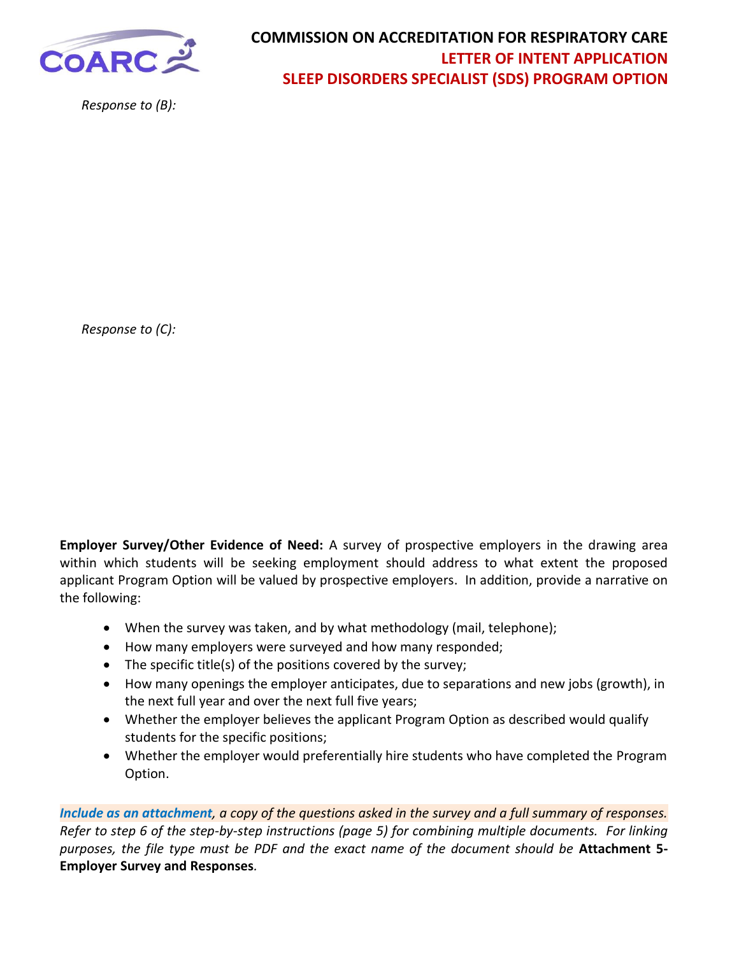

*Response to (B):*

*Response to (C):*

**Employer Survey/Other Evidence of Need:** A survey of prospective employers in the drawing area within which students will be seeking employment should address to what extent the proposed applicant Program Option will be valued by prospective employers. In addition, provide a narrative on the following:

- When the survey was taken, and by what methodology (mail, telephone);
- How many employers were surveyed and how many responded;
- The specific title(s) of the positions covered by the survey;
- How many openings the employer anticipates, due to separations and new jobs (growth), in the next full year and over the next full five years;
- Whether the employer believes the applicant Program Option as described would qualify students for the specific positions;
- Whether the employer would preferentially hire students who have completed the Program Option.

*Include as an attachment, a copy of the questions asked in the survey and a full summary of responses. Refer to step 6 of the step-by-step instructions (page 5) for combining multiple documents. For linking purposes, the file type must be PDF and the exact name of the document should be* **Attachment 5- Employer Survey and Responses***.*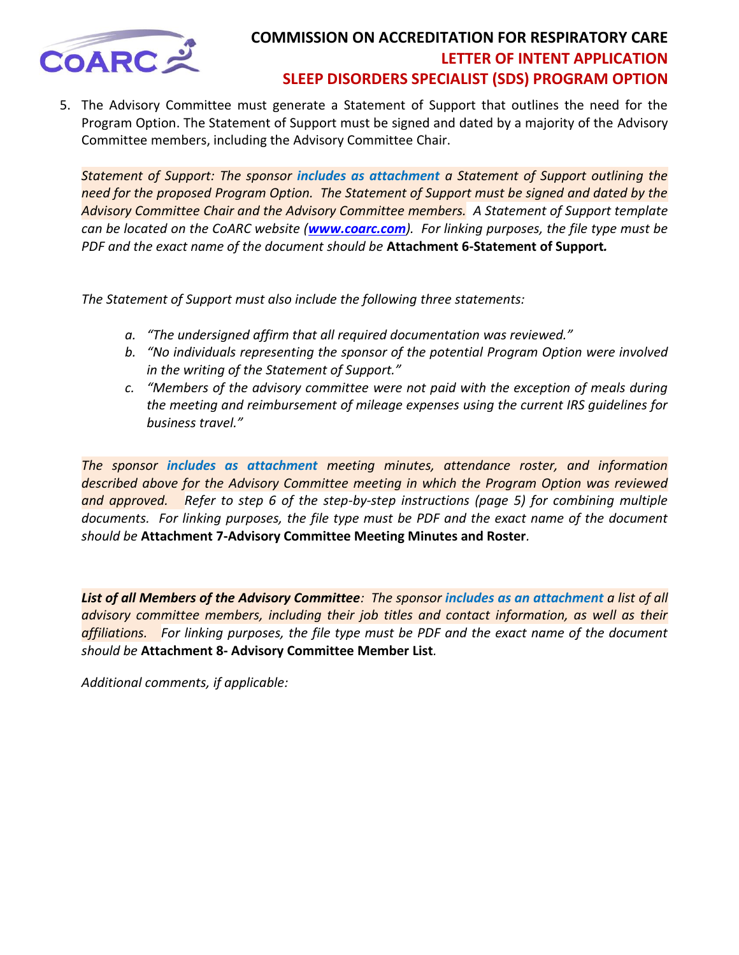

5. The Advisory Committee must generate a Statement of Support that outlines the need for the Program Option. The Statement of Support must be signed and dated by a majority of the Advisory Committee members, including the Advisory Committee Chair.

*Statement of Support: The sponsor includes as attachment a Statement of Support outlining the need for the proposed Program Option. The Statement of Support must be signed and dated by the Advisory Committee Chair and the Advisory Committee members. A Statement of Support template can be located on the CoARC website ([www.coarc.com](http://www.coarc.com/)). For linking purposes, the file type must be PDF and the exact name of the document should be* **Attachment 6-Statement of Support***.*

*The Statement of Support must also include the following three statements:* 

- *a. "The undersigned affirm that all required documentation was reviewed."*
- *b. "No individuals representing the sponsor of the potential Program Option were involved in the writing of the Statement of Support."*
- *c. "Members of the advisory committee were not paid with the exception of meals during the meeting and reimbursement of mileage expenses using the current IRS guidelines for business travel."*

*The sponsor includes as attachment meeting minutes, attendance roster, and information described above for the Advisory Committee meeting in which the Program Option was reviewed and approved. Refer to step 6 of the step-by-step instructions (page 5) for combining multiple documents. For linking purposes, the file type must be PDF and the exact name of the document should be* **Attachment 7-Advisory Committee Meeting Minutes and Roster***.*

*List of all Members of the Advisory Committee: The sponsor includes as an attachment a list of all advisory committee members, including their job titles and contact information, as well as their affiliations. For linking purposes, the file type must be PDF and the exact name of the document should be* **Attachment 8- Advisory Committee Member List***.*

*Additional comments, if applicable:*